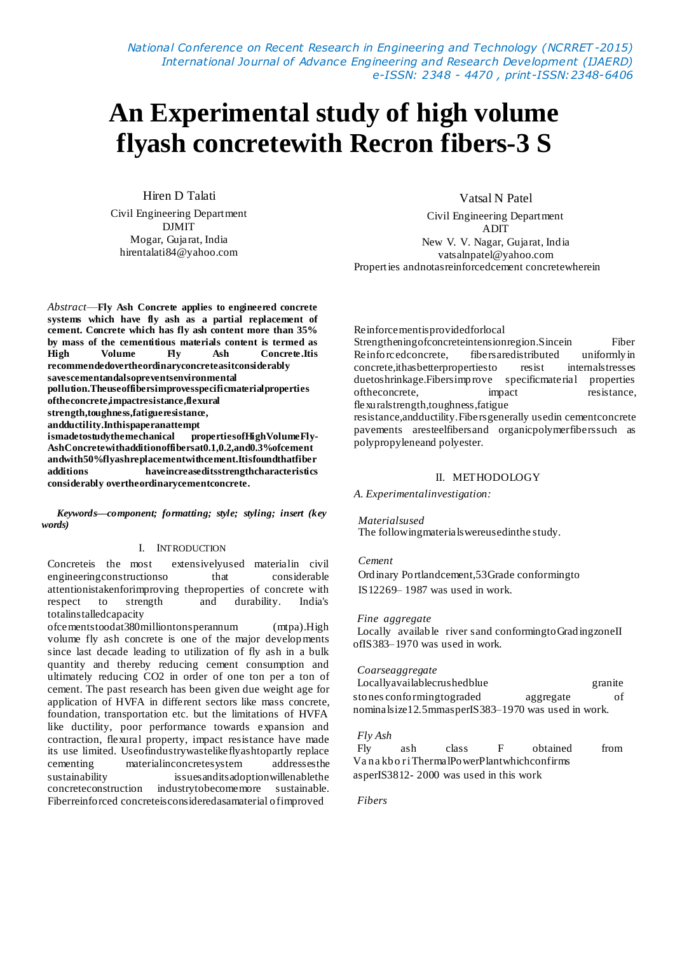*National Conference on Recent Research in Engineering and Technology (NCRRET -2015) International Journal of Advance Engineering and Research Development (IJAERD) e-ISSN: 2348 - 4470 , print-ISSN:2348-6406*

# **An Experimental study of high volume flyash concretewith Recron fibers-3 S**

Hiren D Talati

Civil Engineering Department DJMIT Mogar, Gujarat, India hirentalati84@yahoo.com

Vatsal N Patel

Civil Engineering Department ADIT New V. V. Nagar, Gujarat, India vatsalnpatel@yahoo.com Properties andnotasreinforcedcement concretewherein

*Abstract*—**Fly Ash Concrete applies to engineered concrete systems which have fly ash as a partial replacement of cement. Concrete which has fly ash content more than 35% by mass of the cementitious materials content is termed as<br>
<b>High** Volume Fly Ash Concrete. It is **High Volume Fly Ash Concrete.Itis recommendedovertheordinaryconcreteasitconsiderably savescementandalsopreventsenvironmental pollution.Theuseoffibersimprovesspecificmaterialproperties oftheconcrete,impactresistance,flexural strength,toughness,fatigueresistance, andductility.Inthispaperanattempt ismadetostudythemechanical propertiesofHighVolumeFly-AshConcretewithadditionoffibersat0.1,0.2,and0.3%ofcement andwith50%flyashreplacementwithcement.Itisfoundthatfiber additions haveincreaseditsstrengthcharacteristics considerably overtheordinarycementconcrete.**

*Keywords—component; formatting; style; styling; insert (key words)*

### I. INTRODUCTION

Concreteis the most extensivelyused materialin civil engineering constructions o that considerable attentionistakenforimproving theproperties of concrete with respect to strength and durability. India's totalinstalledcapacity

ofcementstoodat380milliontonsperannum (mtpa).High volume fly ash concrete is one of the major developments since last decade leading to utilization of fly ash in a bulk quantity and thereby reducing cement consumption and ultimately reducing CO2 in order of one ton per a ton of cement. The past research has been given due weight age for application of HVFA in different sectors like mass concrete, foundation, transportation etc. but the limitations of HVFA like ductility, poor performance towards expansion and contraction, flexural property, impact resistance have made its use limited. Useofindustrywastelikeflyashtopartly replace cementing materialinconcretesystem addressesthe sustainability issuesanditsadoptionwillenablethe concreteconstruction industrytobecomemore sustainable. Fiberreinforced concreteisconsideredasamaterial ofimproved

Reinforcementisprovidedforlocal

Strengtheningofconcreteintensionregion.Sincein Fiber Reinforcedconcrete, fibersaredistributed uniformlyin concrete,ithasbetterpropertiesto resist internalstresses duetoshrinkage.Fibersimprove specificmaterial properties of the concrete, impact resistance, flexuralstrength,toughness,fatigue

resistance,andductility.Fibersgenerally usedin cementconcrete pavements aresteelfibersand organicpolymerfiberssuch as polypropyleneand polyester.

# II. METHODOLOGY

### *A. Experimentalinvestigation:*

*Materialsused* The followingmaterialswereusedinthe study.

# *Cement*

Ordinary Portlandcement,53Grade conformingto IS12269– 1987 was used in work.

#### *Fine aggregate*

Locally available river sand conforming to GradingzoneII ofIS383–1970 was used in work.

# *Coarseaggregate*

Locallyavailablecrushedblue granite stones conformingtograded aggregate of nominalsize12.5mmasperIS383–1970 was used in work.

# *Fly Ash*

Fly ash class F obtained from Va na kbo r iThermalPowerPlantwhichconfirms asperIS3812- 2000 was used in this work

*Fibers*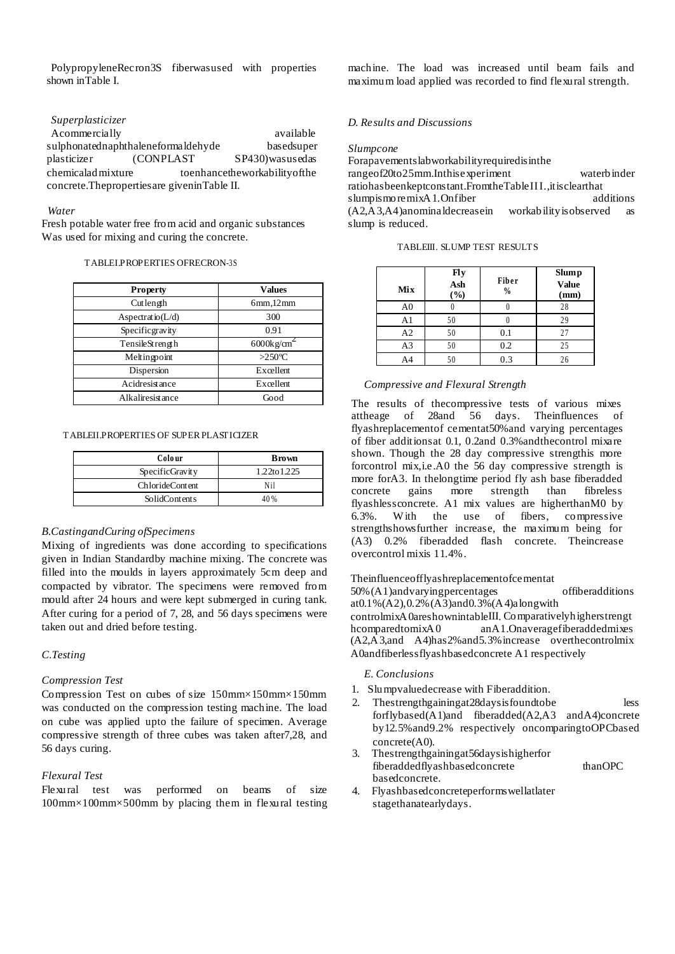PolypropyleneRecron3S fiberwasused with properties shown inTable I.

# *Superplasticizer*

A commercially available available sulphonatednaphthaleneformaldehyde basedsuper plasticizer (CONPLAST SP430)wasusedas chemicaladmixture toenhancetheworkabilityofthe concrete.Thepropertiesare giveninTable II.

#### *Water*

Fresh potable water free from acid and organic substances Was used for mixing and curing the concrete.

#### TABLEI.PROPERTIES OFRECRON-3S

| <b>Property</b>      | Values                    |  |  |
|----------------------|---------------------------|--|--|
| Cutlength            | 6mm,12mm                  |  |  |
| Aspectratio( $L/d$ ) | 300                       |  |  |
| Specificgravity      | 0.91                      |  |  |
| TensileStrength      | $6000$ kg/cm <sup>2</sup> |  |  |
| Meltingpoint         | $>250^{\circ}$ C          |  |  |
| Dispersion           | Excellent                 |  |  |
| Acidresistance       | Excellent                 |  |  |
| Alkaliresistance     | Good                      |  |  |

#### TABLEII.PROPERTIES OF SUPER PLASTICIZER

| Colo ur                | <b>Brown</b> |  |  |
|------------------------|--------------|--|--|
| SpecificGravity        | 1.22to 1.225 |  |  |
| <b>ChlorideContent</b> | Nil          |  |  |
| SolidContents          | 40%          |  |  |

# *B.CastingandCuring ofSpecimens*

Mixing of ingredients was done according to specifications given in Indian Standardby machine mixing. The concrete was filled into the moulds in layers approximately 5cm deep and compacted by vibrator. The specimens were removed from mould after 24 hours and were kept submerged in curing tank. After curing for a period of 7, 28, and 56 days specimens were taken out and dried before testing.

# *C.Testing*

# *Compression Test*

Compression Test on cubes of size 150mm×150mm×150mm was conducted on the compression testing machine. The load on cube was applied upto the failure of specimen. Average compressive strength of three cubes was taken after7,28, and 56 days curing.

# *Flexural Test*

Flexural test was performed on beams of size 100mm×100mm×500mm by placing them in flexural testing machine. The load was increased until beam fails and maximum load applied was recorded to find flexural strength.

# *D. Results and Discussions*

#### *Slumpcone*

Forapavementslabworkabilityrequiredisinthe rangeof20to25mm.Inthisexperiment waterbinder ratiohasbeenkeptconstant.FromtheTableIII.,itisclearthat<br>slumpismoremixA1.Onfiber additions  $slump$ ismoremixA1.Onfiber (A2,A3,A4)anominaldecreasein workabilityisobserved as slump is reduced.

|  |  |  | TABLEIII. SLUMP TEST RESULTS |
|--|--|--|------------------------------|
|--|--|--|------------------------------|

| Mix            | <b>Fly</b><br>Ash<br>$\left( \frac{9}{0} \right)$ | Fiber<br>$\frac{0}{0}$ | <b>Slump</b><br><b>Value</b><br>(mm) |
|----------------|---------------------------------------------------|------------------------|--------------------------------------|
| A <sub>0</sub> |                                                   |                        | 28                                   |
| A1             | 50                                                |                        | 29                                   |
| A2             | 50                                                | 0.1                    | 27                                   |
| A <sub>3</sub> | 50                                                | 0.2                    | 25                                   |
| A4             | 50                                                | 0.3                    | 26                                   |

## *Compressive and Flexural Strength*

The results of thecompressive tests of various mixes attheage of 28and 56 days. Theinfluences of flyashreplacementof cementat50%and varying percentages of fiber additionsat 0.1, 0.2and 0.3%andthecontrol mixare shown. Though the 28 day compressive strengthis more forcontrol mix,i.e.A0 the 56 day compressive strength is more forA3. In thelongtime period fly ash base fiberadded concrete gains more strength than fibreless flyashlessconcrete. A1 mix values are higherthanM0 by 6.3%. With the use of fibers, compressive strengthshowsfurther increase, the maximum being for (A3) 0.2% fiberadded flash concrete. Theincrease overcontrol mixis 11.4%.

# Theinfluenceofflyashreplacementofcementat

50%(A1)andvaryingpercentages offiberadditions at0.1%(A2),0.2%(A3)and0.3%(A4)alongwith controlmixA0areshownintableIII. Comparativelyhigherstrengt hcomparedtomixA0 anA1.Onaveragefiberaddedmixes (A2,A3,and A4)has2%and5.3%increase overthecontrolmix A0andfiberlessflyashbasedconcrete A1 respectively

### *E. Conclusions*

- 1. Slumpvaluedecrease with Fiberaddition.
- 2. Thestrengthgainingat28daysisfoundtobe less forflybased(A1)and fiberadded(A2,A3 andA4)concrete by12.5%and9.2% respectively oncomparingtoOPCbased concrete(A0).
- 3. Thestrengthgainingat56daysishigherfor fiberaddedflyashbasedconcrete thanOPC basedconcrete.
- 4. Flyashbasedconcreteperformswellatlater stagethanatearlydays.